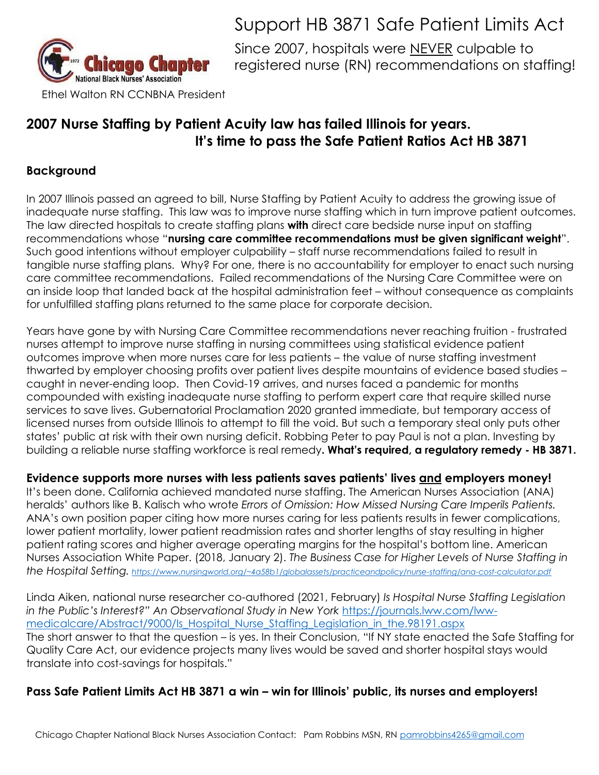

## Support HB 3871 Safe Patient Limits Act

Since 2007, hospitals were NEVER culpable to registered nurse (RN) recommendations on staffing!

## **2007 Nurse Staffing by Patient Acuity law has failed Illinois for years. It's time to pass the Safe Patient Ratios Act HB 3871**

### **Background**

In 2007 Illinois passed an agreed to bill, Nurse Staffing by Patient Acuity to address the growing issue of inadequate nurse staffing. This law was to improve nurse staffing which in turn improve patient outcomes. The law directed hospitals to create staffing plans **with** direct care bedside nurse input on staffing recommendations whose "**nursing care committee recommendations must be given significant weight**". Such good intentions without employer culpability – staff nurse recommendations failed to result in tangible nurse staffing plans. Why? For one, there is no accountability for employer to enact such nursing care committee recommendations. Failed recommendations of the Nursing Care Committee were on an inside loop that landed back at the hospital administration feet – without consequence as complaints for unfulfilled staffing plans returned to the same place for corporate decision.

Years have gone by with Nursing Care Committee recommendations never reaching fruition - frustrated nurses attempt to improve nurse staffing in nursing committees using statistical evidence patient outcomes improve when more nurses care for less patients – the value of nurse staffing investment thwarted by employer choosing profits over patient lives despite mountains of evidence based studies – caught in never-ending loop. Then Covid-19 arrives, and nurses faced a pandemic for months compounded with existing inadequate nurse staffing to perform expert care that require skilled nurse services to save lives. Gubernatorial Proclamation 2020 granted immediate, but temporary access of licensed nurses from outside Illinois to attempt to fill the void. But such a temporary steal only puts other states' public at risk with their own nursing deficit. Robbing Peter to pay Paul is not a plan. Investing by building a reliable nurse staffing workforce is real remedy**. What's required, a regulatory remedy - HB 3871.**

**Evidence supports more nurses with less patients saves patients' lives and employers money!**

It's been done. California achieved mandated nurse staffing. The American Nurses Association (ANA) heralds' authors like B. Kalisch who wrote *Errors of Omission: How Missed Nursing Care Imperils Patients.*  ANA's own position paper citing how more nurses caring for less patients results in fewer complications, lower patient mortality, lower patient readmission rates and shorter lengths of stay resulting in higher patient rating scores and higher average operating margins for the hospital's bottom line. American Nurses Association White Paper. (2018, January 2). *The Business Case for Higher Levels of Nurse Staffing in the Hospital Setting. <https://www.nursingworld.org/~4a58b1/globalassets/practiceandpolicy/nurse-staffing/ana-cost-calculator.pdf>*

Linda Aiken, national nurse researcher co-authored (2021, February) *Is Hospital Nurse Staffing Legislation in the Public's Interest?" An Observational Study in New York* [https://journals.lww.com/lww](https://journals.lww.com/lww-medicalcare/Abstract/9000/Is_Hospital_Nurse_Staffing_Legislation_in_the.98191.aspx)[medicalcare/Abstract/9000/Is\\_Hospital\\_Nurse\\_Staffing\\_Legislation\\_in\\_the.98191.aspx](https://journals.lww.com/lww-medicalcare/Abstract/9000/Is_Hospital_Nurse_Staffing_Legislation_in_the.98191.aspx) The short answer to that the question – is yes. In their Conclusion, "If NY state enacted the Safe Staffing for Quality Care Act, our evidence projects many lives would be saved and shorter hospital stays would translate into cost-savings for hospitals."

### **Pass Safe Patient Limits Act HB 3871 a win – win for Illinois' public, its nurses and employers!**